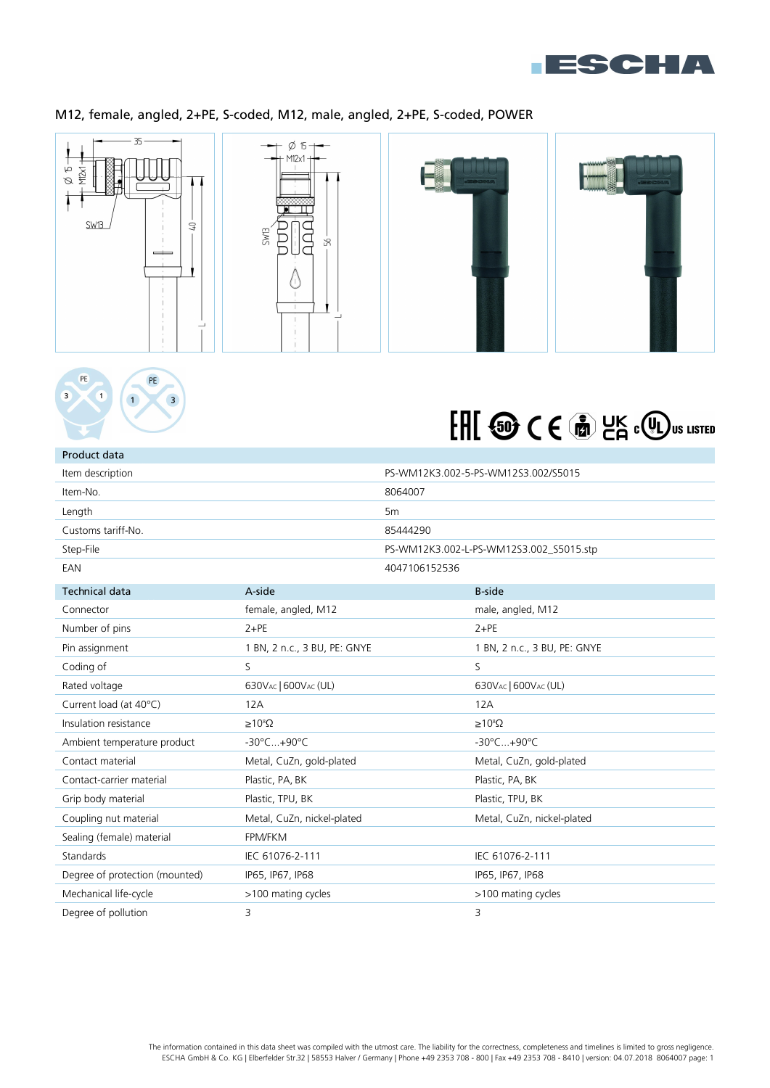

# M12, female, angled, 2+PE, S-coded, M12, male, angled, 2+PE, S-coded, POWER







| Product data                   |                              |                |                                         |
|--------------------------------|------------------------------|----------------|-----------------------------------------|
| Item description               |                              |                | PS-WM12K3.002-5-PS-WM12S3.002/S5015     |
| Item-No.                       |                              | 8064007        |                                         |
| Length                         |                              | 5 <sub>m</sub> |                                         |
| Customs tariff-No.             |                              | 85444290       |                                         |
| Step-File                      |                              |                | PS-WM12K3.002-L-PS-WM12S3.002 S5015.stp |
| EAN                            |                              | 4047106152536  |                                         |
| <b>Technical data</b>          | A-side                       |                | <b>B-side</b>                           |
| Connector                      | female, angled, M12          |                | male, angled, M12                       |
| Number of pins                 | $2+PE$                       |                | $2 + PE$                                |
| Pin assignment                 | 1 BN, 2 n.c., 3 BU, PE: GNYE |                | 1 BN, 2 n.c., 3 BU, PE: GNYE            |
| Coding of                      | S.                           |                | S.                                      |
| Rated voltage                  | 630VAC   600VAC (UL)         |                | 630VAC   600VAC (UL)                    |
| Current load (at 40°C)         | 12A                          |                | 12A                                     |
| Insulation resistance          | $\geq 10^8 \Omega$           |                | $\geq 10^8 \Omega$                      |
| Ambient temperature product    | -30°C+90°C                   |                | -30°C+90°C                              |
| Contact material               | Metal, CuZn, gold-plated     |                | Metal, CuZn, gold-plated                |
| Contact-carrier material       | Plastic, PA, BK              |                | Plastic, PA, BK                         |
| Grip body material             | Plastic, TPU, BK             |                | Plastic, TPU, BK                        |
| Coupling nut material          | Metal, CuZn, nickel-plated   |                | Metal, CuZn, nickel-plated              |
| Sealing (female) material      | FPM/FKM                      |                |                                         |
| Standards                      | IEC 61076-2-111              |                | IEC 61076-2-111                         |
| Degree of protection (mounted) | IP65, IP67, IP68             |                | IP65, IP67, IP68                        |
| Mechanical life-cycle          | >100 mating cycles           |                | >100 mating cycles                      |
| Degree of pollution            | 3                            |                | 3                                       |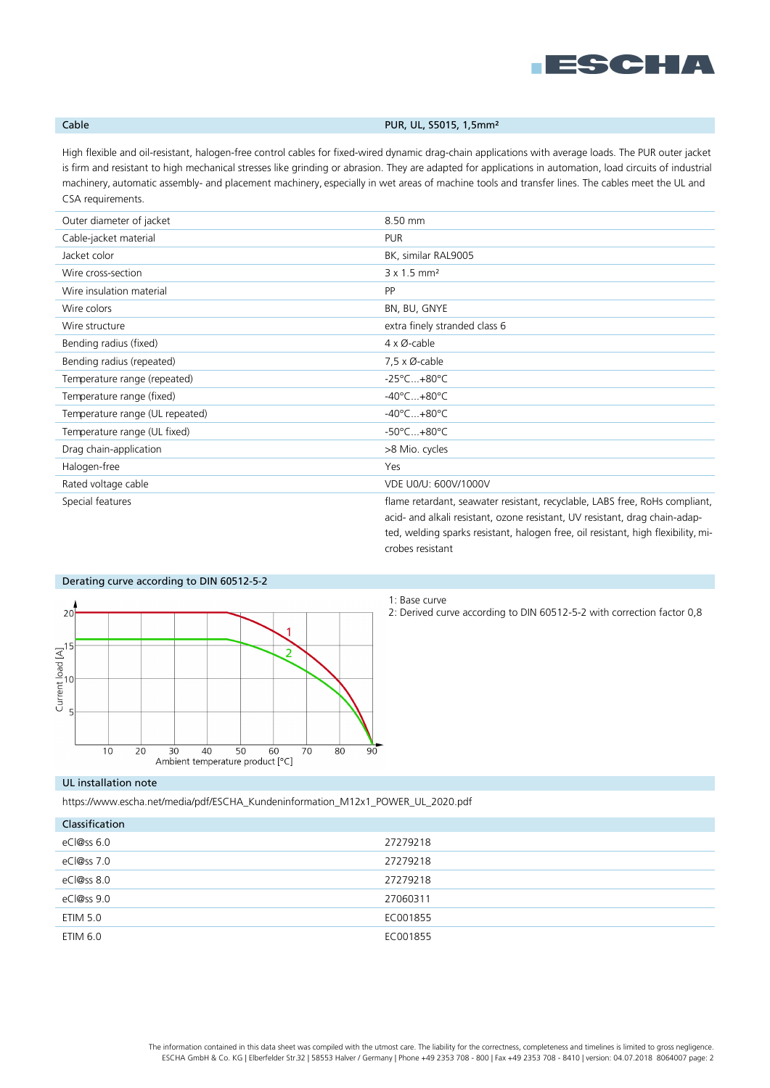

## Cable **Cable Cable PUR, UL, S5015, 1,5mm**<sup>2</sup>

High flexible and oil-resistant, halogen-free control cables for fixed-wired dynamic drag-chain applications with average loads. The PUR outer jacket is firm and resistant to high mechanical stresses like grinding or abrasion. They are adapted for applications in automation, load circuits of industrial machinery, automatic assembly- and placement machinery, especially in wet areas of machine tools and transfer lines. The cables meet the UL and CSA requirements.

| Outer diameter of jacket        | 8.50 mm                                                                                                                                                                                                                                         |
|---------------------------------|-------------------------------------------------------------------------------------------------------------------------------------------------------------------------------------------------------------------------------------------------|
| Cable-jacket material           | <b>PUR</b>                                                                                                                                                                                                                                      |
| Jacket color                    | BK, similar RAL9005                                                                                                                                                                                                                             |
| Wire cross-section              | $3 \times 1.5$ mm <sup>2</sup>                                                                                                                                                                                                                  |
| Wire insulation material        | <b>PP</b>                                                                                                                                                                                                                                       |
| Wire colors                     | BN, BU, GNYE                                                                                                                                                                                                                                    |
| Wire structure                  | extra finely stranded class 6                                                                                                                                                                                                                   |
| Bending radius (fixed)          | $4 \times \emptyset$ -cable                                                                                                                                                                                                                     |
| Bending radius (repeated)       | $7,5 \times \emptyset$ -cable                                                                                                                                                                                                                   |
| Temperature range (repeated)    | $-25^{\circ}$ C $+80^{\circ}$ C                                                                                                                                                                                                                 |
| Temperature range (fixed)       | $-40^{\circ}$ C $+80^{\circ}$ C                                                                                                                                                                                                                 |
| Temperature range (UL repeated) | $-40^{\circ}$ C $+80^{\circ}$ C                                                                                                                                                                                                                 |
| Temperature range (UL fixed)    | $-50^{\circ}$ C $+80^{\circ}$ C                                                                                                                                                                                                                 |
| Drag chain-application          | >8 Mio. cycles                                                                                                                                                                                                                                  |
| Halogen-free                    | Yes                                                                                                                                                                                                                                             |
| Rated voltage cable             | VDE U0/U: 600V/1000V                                                                                                                                                                                                                            |
| Special features                | flame retardant, seawater resistant, recyclable, LABS free, RoHs compliant,<br>acid- and alkali resistant, ozone resistant, UV resistant, drag chain-adap-<br>ted, welding sparks resistant, halogen free, oil resistant, high flexibility, mi- |



# Derating curve according to DIN 60512-5-2

1: Base curve

crobes resistant

2: Derived curve according to DIN 60512-5-2 with correction factor 0,8

### UL installation note

https://www.escha.net/media/pdf/ESCHA\_Kundeninformation\_M12x1\_POWER\_UL\_2020.pdf

| Classification  |          |
|-----------------|----------|
| eCl@ss 6.0      | 27279218 |
| eCl@ss 7.0      | 27279218 |
| eCl@ss 8.0      | 27279218 |
| eCl@ss 9.0      | 27060311 |
| <b>ETIM 5.0</b> | EC001855 |
| ETIM 6.0        | EC001855 |